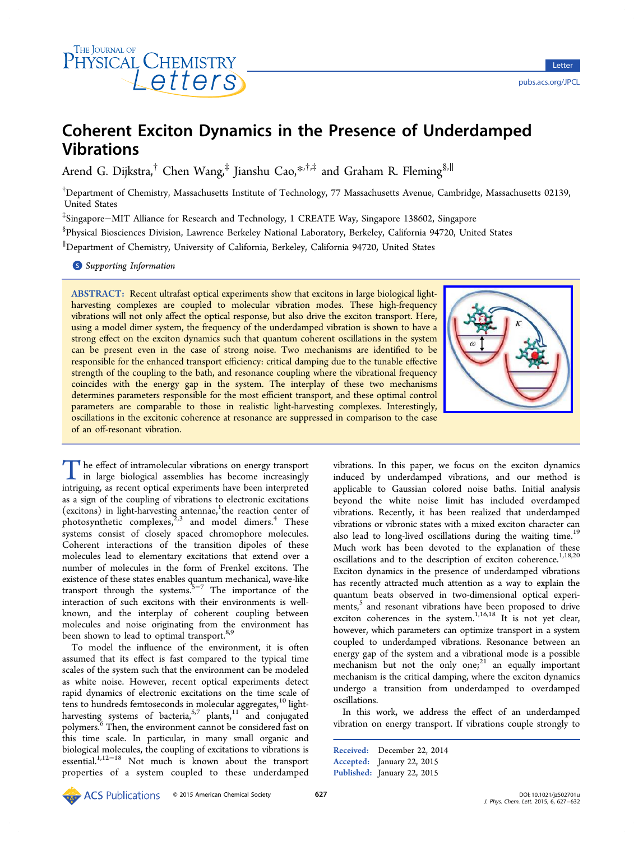

# Coherent Exciton Dynamics in the Presence of Underdamped Vibrations

Arend G. Dijkstra,<sup>†</sup> Chen Wang,<sup>‡</sup> Jianshu Cao,<sup>\*</sub>,†,‡</sup> and Graham R. Fleming<sup>§,||</sup>

† Department of Chemistry, Massachusetts Institute of Tec[hno](#page-4-0)logy, 77 Massachusetts Avenue, Cambridge, Massachusetts 02139, United States

‡ Singapore−MIT Alliance for Research and Technology, 1 CREATE Way, Singapore 138602, Singapore

§ Physical Biosciences Division, Lawrence Berkeley National Laboratory, Berkeley, California 94720, United States

∥ Department of Chemistry, University of California, Berkeley, California 94720, United States

**S** Supporting Information

[AB](#page-4-0)STRACT: [Recent ultrafa](#page-4-0)st optical experiments show that excitons in large biological lightharvesting complexes are coupled to molecular vibration modes. These high-frequency vibrations will not only affect the optical response, but also drive the exciton transport. Here, using a model dimer system, the frequency of the underdamped vibration is shown to have a strong effect on the exciton dynamics such that quantum coherent oscillations in the system can be present even in the case of strong noise. Two mechanisms are identified to be responsible for the enhanced transport efficiency: critical damping due to the tunable effective strength of the coupling to the bath, and resonance coupling where the vibrational frequency coincides with the energy gap in the system. The interplay of these two mechanisms determines parameters responsible for the most efficient transport, and these optimal control parameters are comparable to those in realistic light-harvesting complexes. Interestingly, oscillations in the excitonic coherence at resonance are suppressed in comparison to the case of an off-resonant vibration.



The effect of intramolecular vibrations on energy transport<br>in large biological assemblies has become increasingly<br>intriguing as recent ontical experiments have been interpreted intriguing, as recent optical experiments have been interpreted as a sign of the coupling of vibrations to electronic excitations (excitons) in light-harvesting antennae, the reaction center of photosynthetic complexes,  $2,3$  and model dimers.<sup>4</sup> These systems consist of closely spaced c[hro](#page-5-0)mophore molecules. Coherent interactions of [the](#page-5-0) transition dipoles [o](#page-5-0)f these molecules lead to elementary excitations that extend over a number of molecules in the form of Frenkel excitons. The existence of these states enables quantum mechanical, wave-like transport through the systems.5−<sup>7</sup> The importance of the interaction of such excitons with their environments is wellknown, and the interplay of [coh](#page-5-0)erent coupling between molecules and noise originating from the environment has been shown to lead to optimal transport.<sup>8,9</sup>

To model the influence of the environment, it is often assumed that its effect is fast compare[d t](#page-5-0)o the typical time scales of the system such that the environment can be modeled as white noise. However, recent optical experiments detect rapid dynamics of electronic excitations on the time scale of tens to hundreds femtoseconds in molecular aggregates,<sup>10</sup> lightharvesting systems of bacteria,<sup>5,7</sup> plants,<sup>11</sup> and conjugated polymers.<sup>6</sup> Then, the environment cannot be considere[d fa](#page-5-0)st on this time scale. In particular, [in](#page-5-0) many [sm](#page-5-0)all organic and biological [m](#page-5-0)olecules, the coupling of excitations to vibrations is essential.1,12−<sup>18</sup> Not much is known about the transport properties of a system coupled to these underdamped vibrations. In this paper, we focus on the exciton dynamics induced by underdamped vibrations, and our method is applicable to Gaussian colored noise baths. Initial analysis beyond the white noise limit has included overdamped vibrations. Recently, it has been realized that underdamped vibrations or vibronic states with a mixed exciton character can also lead to long-lived oscillations during the waiting time.<sup>19</sup> Much work has been devoted to the explanation of these oscillations and to the description of exciton coherence.<sup>1,18[,20](#page-5-0)</sup> Exciton dynamics in the presence of underdamped vibrations has recently attracted much attention as a way to explai[n the](#page-5-0) quantum beats observed in two-dimensional optical experiments,<sup>5</sup> and resonant vibrations have been proposed to drive exciton coherences in the system.<sup>1,16,18</sup> It is not yet clear, howev[e](#page-5-0)r, which parameters can optimize transport in a system coupled to underdamped vibratio[ns. Re](#page-5-0)sonance between an energy gap of the system and a vibrational mode is a possible mechanism but not the only one; $21$  an equally important mechanism is the critical damping, where the exciton dynamics undergo a transition from under[dam](#page-5-0)ped to overdamped oscillations.

In this work, we address the effect of an underdamped vibration on energy transport. If vibrations couple strongly to

Received: December 22, 2014 Accepted: January 22, 2015 Published: January 22, 2015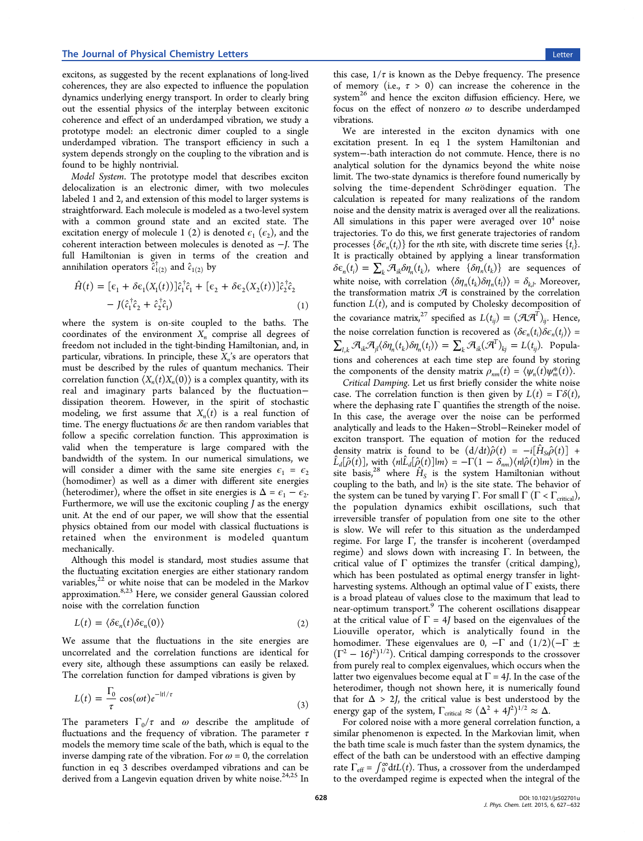excitons, as suggested by the recent explanations of long-lived coherences, they are also expected to influence the population dynamics underlying energy transport. In order to clearly bring out the essential physics of the interplay between excitonic coherence and effect of an underdamped vibration, we study a prototype model: an electronic dimer coupled to a single underdamped vibration. The transport efficiency in such a system depends strongly on the coupling to the vibration and is found to be highly nontrivial.

Model System. The prototype model that describes exciton delocalization is an electronic dimer, with two molecules labeled 1 and 2, and extension of this model to larger systems is straightforward. Each molecule is modeled as a two-level system with a common ground state and an excited state. The excitation energy of molecule 1 (2) is denoted  $\epsilon_1$  ( $\epsilon_2$ ), and the coherent interaction between molecules is denoted as −J. The full Hamiltonian is given in terms of the creation and annihilation operators  $\tilde{c}^\dagger_{1(2)}$  and  $\hat{c}_{1(2)}$  by

$$
\hat{H}(t) = [\epsilon_1 + \delta \epsilon_1(X_1(t))] \hat{c}_1^{\dagger} \hat{c}_1 + [\epsilon_2 + \delta \epsilon_2(X_2(t))] \hat{c}_2^{\dagger} \hat{c}_2 \n- J(\hat{c}_1^{\dagger} \hat{c}_2 + \hat{c}_2^{\dagger} \hat{c}_1)
$$
\n(1)

where the system is on-site coupled to the baths. The coordinates of the environment  $X_n$  comprise all degrees of freedom not included in the tight-binding Hamiltonian, and, in particular, vibrations. In principle, these  $X_n$ 's are operators that must be described by the rules of quantum mechanics. Their correlation function  $\langle X_n(t)X_n(0)\rangle$  is a complex quantity, with its real and imaginary parts balanced by the fluctuation− dissipation theorem. However, in the spirit of stochastic modeling, we first assume that  $X_n(t)$  is a real function of time. The energy fluctuations  $\delta \epsilon$  are then random variables that follow a specific correlation function. This approximation is valid when the temperature is large compared with the bandwidth of the system. In our numerical simulations, we will consider a dimer with the same site energies  $\epsilon_1 = \epsilon_2$ (homodimer) as well as a dimer with different site energies (heterodimer), where the offset in site energies is  $\Delta = \epsilon_1 - \epsilon_2$ . Furthermore, we will use the excitonic coupling  *as the energy* unit. At the end of our paper, we will show that the essential physics obtained from our model with classical fluctuations is retained when the environment is modeled quantum mechanically.

Although this model is standard, most studies assume that the fluctuating excitation energies are either stationary random variables, $2^2$  or white noise that can be modeled in the Markov variables, or white newe that the term of the constant of noise wi[th](#page-5-0) the correlation function

$$
L(t) = \langle \delta \epsilon_n(t) \delta \epsilon_n(0) \rangle \tag{2}
$$

We assume that the fluctuations in the site energies are uncorrelated and the correlation functions are identical for every site, although these assumptions can easily be relaxed. The correlation function for damped vibrations is given by

$$
L(t) = \frac{\Gamma_0}{\tau} \cos(\omega t) e^{-|t|/\tau}
$$
\n(3)

The parameters  $\Gamma_0/\tau$  and  $\omega$  describe the amplitude of fluctuations and the frequency of vibration. The parameter  $\tau$ models the memory time scale of the bath, which is equal to the inverse damping rate of the vibration. For  $\omega = 0$ , the correlation function in eq 3 describes overdamped vibrations and can be derived from a Langevin equation driven by white noise. $24,25$  In

this case,  $1/\tau$  is known as the Debye frequency. The presence of memory (i.e.,  $\tau > 0$ ) can increase the coherence in the system<sup>26</sup> and hence the exciton diffusion efficiency. Here, we focus on the effect of nonzero  $\omega$  to describe underdamped vibrati[on](#page-5-0)s.

We are interested in the exciton dynamics with one excitation present. In eq 1 the system Hamiltonian and system−-bath interaction do not commute. Hence, there is no analytical solution for the dynamics beyond the white noise limit. The two-state dynamics is therefore found numerically by solving the time-dependent Schrödinger equation. The calculation is repeated for many realizations of the random noise and the density matrix is averaged over all the realizations. All simulations in this paper were averaged over  $10<sup>4</sup>$  noise trajectories. To do this, we first generate trajectories of random processes  $\{\delta \epsilon_n(t_i)\}$  for the *n*th site, with discrete time series  $\{t_i\}$ . It is practically obtained by applying a linear transformation  $\delta \epsilon_n(t_i) = \sum_k \mathcal{A}_{ik} \delta \eta_n(t_k)$ , where  $\{\delta \eta_n(t_k)\}\$  are sequences of white noise, with correlation  $\langle \delta \eta_n(t_k) \delta \eta_n(t_l) \rangle = \delta_{k,l}$ . Moreover, the transformation matrix  $\mathcal A$  is constrained by the correlation function  $L(t)$ , and is computed by Cholesky decomposition of the covariance matrix,<sup>27</sup> specified as  $L(t_{ii}) = (\mathcal{A}\mathcal{A}^T)_{ii}$ . Hence, the noise correlation function is recovered as  $\langle \delta \epsilon_n(t_i) \delta \epsilon_n(t_j) \rangle =$  $\sum_{l,k} \mathcal{A}_{ik} \mathcal{A}_{jl} \langle \delta \eta_n(t_k) \delta \eta_n(t_l) \rangle = \sum_k \mathcal{A}_{ik} (\mathcal{A}^T)_{kj} = L(t_{ij}).$  Populations and coherences at each time step are found by storing the components of the density matrix  $\rho_{nm}(t) = \langle \psi_n(t) \psi_m^*(t) \rangle$ .

Critical Damping. Let us first briefly consider the white noise case. The correlation function is then given by  $L(t) = \Gamma \delta(t)$ , where the dephasing rate  $\Gamma$  quantifies the strength of the noise. In this case, the average over the noise can be performed analytically and leads to the Haken−Strobl−Reineker model of exciton transport. The equation of motion for the reduced density matrix is found to be  $(d/dt)\hat{\rho}(t) = -i[\hat{H}_s\hat{\rho}(t)]$  +  $\hat{L}_d[\hat{\rho}(t)]$ , with  $\langle n|\hat{L}_d[\hat{\rho}(t)]|m\rangle = -\Gamma(1-\delta_{nm})\langle n|\hat{\rho}(t)|m\rangle$  in the site basis,<sup>28</sup> where  $\hat{H}_S$  is the system Hamiltonian without coupling to the bath, and  $|n\rangle$  is the site state. The behavior of the syste[m c](#page-5-0)an be tuned by varying Γ. For small  $\Gamma$  (Γ < Γ<sub>critical</sub>), the population dynamics exhibit oscillations, such that irreversible transfer of population from one site to the other is slow. We will refer to this situation as the underdamped regime. For large Γ, the transfer is incoherent (overdamped regime) and slows down with increasing Γ. In between, the critical value of  $\Gamma$  optimizes the transfer (critical damping), which has been postulated as optimal energy transfer in lightharvesting systems. Although an optimal value of  $\Gamma$  exists, there is a broad plateau of values close to the maximum that lead to near-optimum transport.<sup>9</sup> The coherent oscillations disappear at the critical value of  $\Gamma = 4J$  based on the eigenvalues of the Liouville operator, w[h](#page-5-0)ich is analytically found in the homodimer. These eigenvalues are 0,  $-\Gamma$  and  $(1/2)(-\Gamma \pm \Gamma)$  $(\Gamma^2 - 16)^2)^{1/2}$ ). Critical damping corresponds to the crossover from purely real to complex eigenvalues, which occurs when the latter two eigenvalues become equal at  $\Gamma = 4J$ . In the case of the heterodimer, though not shown here, it is numerically found that for  $\Delta > 2J$ , the critical value is best understood by the energy gap of the system,  $\Gamma_{\text{critical}} \approx (\Delta^2 + 4J^2)^{1/2} \approx \Delta$ .

For colored noise with a more general correlation function, a similar phenomenon is expected. In the Markovian limit, when the bath time scale is much faster than the system dynamics, the effect of the bath can be understood with an effective damping rate  $\Gamma_{\text{eff}} = \int_0^\infty dt L(t)$ . Thus, a crossover from the underdamped to the overdamped regime is expected when the integral of the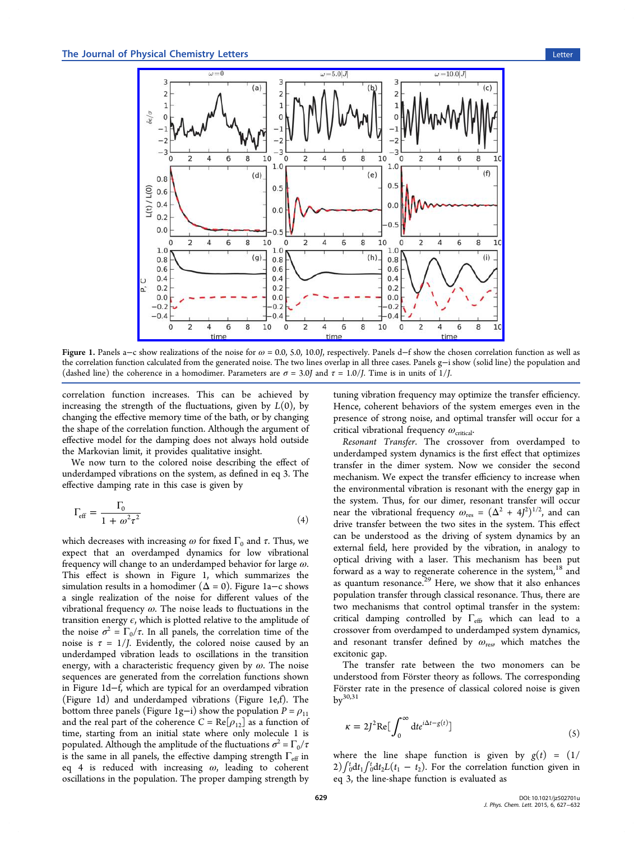<span id="page-2-0"></span>

Figure 1. Panels a–c show realizations of the noise for  $ω = 0.0$ , 5.0, 10.0J, respectively. Panels d–f show the chosen correlation function as well as the correlation functio[n calculated from the generated noise. The two lines overlap in all three cases. Panels g](http://pubs.acs.org/action/showImage?doi=10.1021/jz502701u&iName=master.img-001.jpg&w=351&h=260)−i show (solid line) the population and (dashed line) the coherence in a homodimer. Parameters are  $\sigma = 3.0$  and  $\tau = 1.0$  / Time is in units of 1/*J*.

correlation function increases. This can be achieved by increasing the strength of the fluctuations, given by  $L(0)$ , by changing the effective memory time of the bath, or by changing the shape of the correlation function. Although the argument of effective model for the damping does not always hold outside the Markovian limit, it provides qualitative insight.

We now turn to the colored noise describing the effect of underdamped vibrations on the system, as defined in eq 3. The effective damping rate in this case is given by

$$
\Gamma_{\rm eff} = \frac{\Gamma_0}{1 + \omega^2 \tau^2} \tag{4}
$$

which decreases with increasing  $\omega$  for fixed  $\Gamma_0$  and  $\tau$ . Thus, we expect that an overdamped dynamics for low vibrational frequency will change to an underdamped behavior for large  $\omega$ . This effect is shown in Figure 1, which summarizes the simulation results in a homodimer ( $\Delta = 0$ ). Figure 1a–c shows a single realization of the noise for different values of the vibrational frequency  $\omega$ . The noise leads to fluctuations in the transition energy  $\epsilon$ , which is plotted relative to the amplitude of the noise  $\sigma^2 = \Gamma_0/\tau$ . In all panels, the correlation time of the noise is  $\tau = 1/J$ . Evidently, the colored noise caused by an underdamped vibration leads to oscillations in the transition energy, with a characteristic frequency given by  $\omega$ . The noise sequences are generated from the correlation functions shown in Figure 1d−f, which are typical for an overdamped vibration (Figure 1d) and underdamped vibrations (Figure 1e,f). The bottom three panels (Figure 1g−i) show the population  $P = \rho_{11}$ and the real part of the coherence  $C = \text{Re}[\rho_{12}]$  as a function of time, starting from an initial state where only molecule 1 is populated. Although the amplitude of the fluctuations  $\sigma^2 = \Gamma_0/\tau$ is the same in all panels, the effective damping strength  $\Gamma_{\text{eff}}$  in eq 4 is reduced with increasing  $\omega$ , leading to coherent oscillations in the population. The proper damping strength by

tuning vibration frequency may optimize the transfer efficiency. Hence, coherent behaviors of the system emerges even in the presence of strong noise, and optimal transfer will occur for a critical vibrational frequency  $\omega_{\text{critical}}$ .

Resonant Transfer. The crossover from overdamped to underdamped system dynamics is the first effect that optimizes transfer in the dimer system. Now we consider the second mechanism. We expect the transfer efficiency to increase when the environmental vibration is resonant with the energy gap in the system. Thus, for our dimer, resonant transfer will occur near the vibrational frequency  $\omega_{\text{res}} = (\Delta^2 + 4J^2)^{1/2}$ , and can drive transfer between the two sites in the system. This effect can be understood as the driving of system dynamics by an external field, here provided by the vibration, in analogy to optical driving with a laser. This mechanism has been put forward as a way to regenerate coherence in the system,  $18$  and as quantum resonance.<sup>29</sup> Here, we show that it also enhances population transfer through classical resonance. Thus, th[ere](#page-5-0) are two mechanisms that [co](#page-5-0)ntrol optimal transfer in the system: critical damping controlled by  $\Gamma_{\text{eff}}$ , which can lead to a crossover from overdamped to underdamped system dynamics, and resonant transfer defined by  $\omega_{\text{res}}$ , which matches the excitonic gap.

The transfer rate between the two monomers can be understood from Förster theory as follows. The corresponding Förster rate in the presence of classical colored noise is given  $bv^{30,31}$ 

$$
\kappa = 2J^2 \text{Re} \big[ \int_0^\infty dt e^{i\Delta t - g(t)} \big] \tag{5}
$$

where the line shape function is given by  $g(t) = (1/$  $2) \int_0^t dt_1 \int_0^t dt_2 L(t_1 - t_2)$ . For the correlation function given in eq 3, the line-shape function is evaluated as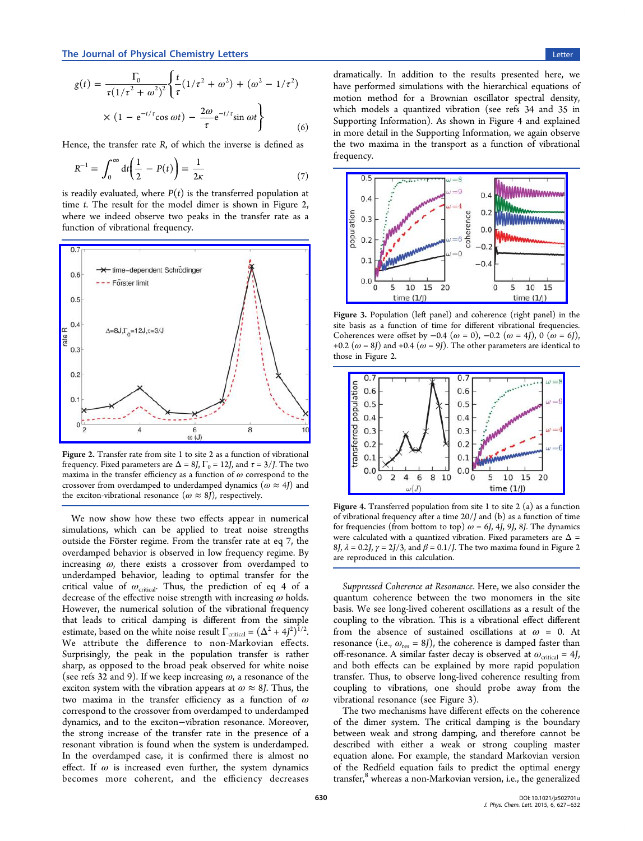$(6)$ 

<span id="page-3-0"></span>Hence, the transfer rate  $R$ , of which the inverse is defined as

$$
R^{-1} = \int_0^\infty dt \left(\frac{1}{2} - P(t)\right) = \frac{1}{2\kappa} \tag{7}
$$

is readily evaluated, where  $P(t)$  is the transferred population at time t. The result for the model dimer is shown in Figure 2, where we indeed observe two peaks in the transfer rate as a function of vibrational frequency.



Figure 2. [Transfer rate from site 1 to site 2 as a function of vibrational](http://pubs.acs.org/action/showImage?doi=10.1021/jz502701u&iName=master.img-002.jpg&w=239&h=188) frequency. Fixed parameters are  $\Delta = 8$ *J*,  $\Gamma_0 = 12$ *J*, and  $\tau = 3$ /*J*. The two maxima in the transfer efficiency as a function of  $\omega$  correspond to the crossover from overdamped to underdamped dynamics  $(\omega \approx 4)$  and the exciton-vibrational resonance  $(\omega \approx 8J)$ , respectively.

We now show how these two effects appear in numerical simulations, which can be applied to treat noise strengths outside the Förster regime. From the transfer rate at eq 7, the overdamped behavior is observed in low frequency regime. By increasing  $\omega$ , there exists a crossover from overdamped to underdamped behavior, leading to optimal transfer for the critical value of  $\omega_{\text{critical}}$ . Thus, the prediction of eq 4 of a decrease of the effective noise strength with increasing  $\omega$  holds. However, the numerical solution of the vibrational fre[q](#page-2-0)uency that leads to critical damping is different from the simple estimate, based on the white noise result  $\Gamma_{\text{critical}} = (\Delta^2 + 4J^2)^{1/2}$ . We attribute the difference to non-Markovian effects. Surprisingly, the peak in the population transfer is rather sharp, as opposed to the broad peak observed for white noise (see refs 32 and 9). If we keep increasing  $\omega$ , a resonance of the exciton system with the vibration appears at  $\omega \approx 8$ *J*. Thus, the two ma[xim](#page-5-0)a in the transfer efficiency as a function of  $\omega$ correspond to the crossover from overdamped to underdamped dynamics, and to the exciton−vibration resonance. Moreover, the strong increase of the transfer rate in the presence of a resonant vibration is found when the system is underdamped. In the overdamped case, it is confirmed there is almost no effect. If  $\omega$  is increased even further, the system dynamics becomes more coherent, and the efficiency decreases

dramatically. In addition to the results presented here, we have performed simulations with the hierarchical equations of motion method for a Brownian oscillator spectral density, which models a quantized vibration (see refs 34 and 35 in Supporting Information). As shown in Figure 4 and explained in more detail in the Supporting Information, we again observe [the two maxima in the](#page-4-0) transport as a function of vibrational frequency.



Figure 3. [Population \(left panel\) and coherence \(right panel\) in](http://pubs.acs.org/action/showImage?doi=10.1021/jz502701u&iName=master.img-003.jpg&w=210&h=122) the site basis as a function of time for different vibrational frequencies. Coherences were offset by  $-0.4$  ( $\omega = 0$ ),  $-0.2$  ( $\omega = 4J$ ), 0 ( $\omega = 6J$ ), +0.2 ( $\omega$  = 8J) and +0.4 ( $\omega$  = 9J). The other parameters are identical to those in Figure 2.



Figure 4. [Transferred population from site 1 to site 2 \(a\) as a fun](http://pubs.acs.org/action/showImage?doi=10.1021/jz502701u&iName=master.img-004.jpg&w=204&h=114)ction of vibrational frequency after a time  $20/J$  and (b) as a function of time for frequencies (from bottom to top)  $\omega = 6J$ , 4J, 9J, 8J. The dynamics were calculated with a quantized vibration. Fixed parameters are  $\Delta =$ 8J,  $\lambda = 0.2$ J,  $\gamma = 2$ J/3, and  $\beta = 0.1$ /J. The two maxima found in Figure 2 are reproduced in this calculation.

Suppressed Coherence at Resonance. Here, we also consider the quantum coherence between the two monomers in the site basis. We see long-lived coherent oscillations as a result of the coupling to the vibration. This is a vibrational effect different from the absence of sustained oscillations at  $\omega = 0$ . At resonance (i.e.,  $\omega_{res} = 8J$ ), the coherence is damped faster than off-resonance. A similar faster decay is observed at  $\omega_{\text{critical}} = 4J$ , and both effects can be explained by more rapid population transfer. Thus, to observe long-lived coherence resulting from coupling to vibrations, one should probe away from the vibrational resonance (see Figure 3).

The two mechanisms have different effects on the coherence of the dimer system. The critical damping is the boundary between weak and strong damping, and therefore cannot be described with either a weak or strong coupling master equation alone. For example, the standard Markovian version of the Redfield equation fails to predict the optimal energy transfer,<sup>8</sup> whereas a non-Markovian version, i.e., the generalized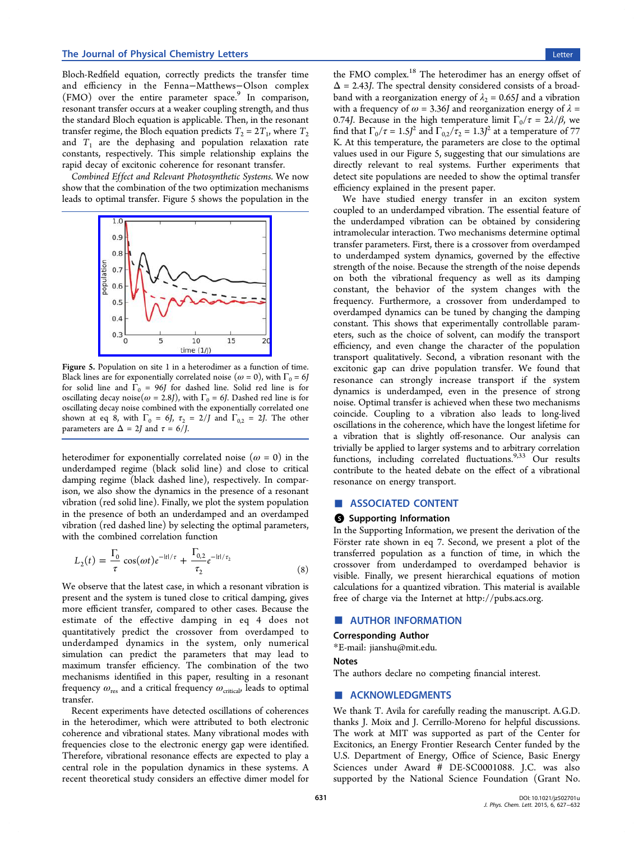<span id="page-4-0"></span>Bloch-Redfield equation, correctly predicts the transfer time and efficiency in the Fenna−Matthews−Olson complex (FMO) over the entire parameter space.<sup>9</sup> In comparison, resonant transfer occurs at a weaker coupling strength, and thus the standard Bloch equation is applicable. Th[e](#page-5-0)n, in the resonant transfer regime, the Bloch equation predicts  $T_2 = 2T_1$ , where  $T_2$ and  $T_1$  are the dephasing and population relaxation rate constants, respectively. This simple relationship explains the rapid decay of excitonic coherence for resonant transfer.

Combined Effect and Relevant Photosynthetic Systems. We now show that the combination of the two optimization mechanisms leads to optimal transfer. Figure 5 shows the population in the



Figure 5. [Population on site 1 in a heterodimer as a functi](http://pubs.acs.org/action/showImage?doi=10.1021/jz502701u&iName=master.img-005.jpg&w=163&h=131)on of time. Black lines are for exponentially correlated noise ( $\omega = 0$ ), with  $\Gamma_0 = 6J$ for solid line and  $\Gamma_0 = 96$  for dashed line. Solid red line is for oscillating decay noise( $\omega$  = 2.8J), with  $\Gamma_0$  = 6J. Dashed red line is for oscillating decay noise combined with the exponentially correlated one shown at eq 8, with  $\Gamma_0 = 6$ ,  $\tau_2 = 2/J$  and  $\Gamma_{0,2} = 2J$ . The other parameters are  $\Delta = 2J$  and  $\tau = 6/J$ .

heterodimer for exponentially correlated noise  $(\omega = 0)$  in the underdamped regime (black solid line) and close to critical damping regime (black dashed line), respectively. In comparison, we also show the dynamics in the presence of a resonant vibration (red solid line). Finally, we plot the system population in the presence of both an underdamped and an overdamped vibration (red dashed line) by selecting the optimal parameters, with the combined correlation function

$$
L_2(t) = \frac{\Gamma_0}{\tau} \cos(\omega t) e^{-|t|/\tau} + \frac{\Gamma_{0,2}}{\tau_2} e^{-|t|/\tau_2}
$$
\n(8)

We observe that the latest case, in which a resonant vibration is present and the system is tuned close to critical damping, gives more efficient transfer, compared to other cases. Because the estimate of the effective damping in eq 4 does not quantitatively predict the crossover from overdamped to underdamped dynamics in the system, onl[y](#page-2-0) numerical simulation can predict the parameters that may lead to maximum transfer efficiency. The combination of the two mechanisms identified in this paper, resulting in a resonant frequency  $\omega_{\text{res}}$  and a critical frequency  $\omega_{\text{critical}}$ , leads to optimal transfer.

Recent experiments have detected oscillations of coherences in the heterodimer, which were attributed to both electronic coherence and vibrational states. Many vibrational modes with frequencies close to the electronic energy gap were identified. Therefore, vibrational resonance effects are expected to play a central role in the population dynamics in these systems. A recent theoretical study considers an effective dimer model for the FMO complex.<sup>18</sup> The heterodimer has an energy offset of  $\Delta$  = 2.43J. The spectral density considered consists of a broadband with a reorga[niz](#page-5-0)ation energy of  $\lambda_2 = 0.65$  and a vibration with a frequency of  $\omega$  = 3.36J and reorganization energy of  $\lambda$  = 0.74J. Because in the high temperature limit  $\Gamma_0/\tau = 2\lambda/\beta$ , we find that  $\Gamma_0/\tau = 1.5J^2$  and  $\Gamma_{0,2}/\tau_2 = 1.3J^2$  at a temperature of 77 K. At this temperature, the parameters are close to the optimal values used in our Figure 5, suggesting that our simulations are directly relevant to real systems. Further experiments that detect site populations are needed to show the optimal transfer efficiency explained in the present paper.

We have studied energy transfer in an exciton system coupled to an underdamped vibration. The essential feature of the underdamped vibration can be obtained by considering intramolecular interaction. Two mechanisms determine optimal transfer parameters. First, there is a crossover from overdamped to underdamped system dynamics, governed by the effective strength of the noise. Because the strength of the noise depends on both the vibrational frequency as well as its damping constant, the behavior of the system changes with the frequency. Furthermore, a crossover from underdamped to overdamped dynamics can be tuned by changing the damping constant. This shows that experimentally controllable parameters, such as the choice of solvent, can modify the transport efficiency, and even change the character of the population transport qualitatively. Second, a vibration resonant with the excitonic gap can drive population transfer. We found that resonance can strongly increase transport if the system dynamics is underdamped, even in the presence of strong noise. Optimal transfer is achieved when these two mechanisms coincide. Coupling to a vibration also leads to long-lived oscillations in the coherence, which have the longest lifetime for a vibration that is slightly off-resonance. Our analysis can trivially be applied to larger systems and to arbitrary correlation functions, including correlated fluctuations.  $9,33$  Our results contribute to the heated debate on the effect of a vibrational resonance on energy transport.

### ■ ASSOCIATED CONTENT

## **6** Supporting Information

In the Supporting Information, we present the derivation of the Förster rate shown in eq 7. Second, we present a plot of the transferred population as a function of time, in which the crossover from underda[m](#page-3-0)ped to overdamped behavior is visible. Finally, we present hierarchical equations of motion calculations for a quantized vibration. This material is available free of charge via the Internet at http://pubs.acs.org.

#### ■ AUTHOR INFORMATION

#### Corresponding Author

\*E-mail: jianshu@mit.edu.

#### Notes

The auth[ors declare no co](mailto:jianshu@mit.edu)mpeting financial interest.

#### ■ ACKNOWLEDGMENTS

We thank T. Avila for carefully reading the manuscript. A.G.D. thanks J. Moix and J. Cerrillo-Moreno for helpful discussions. The work at MIT was supported as part of the Center for Excitonics, an Energy Frontier Research Center funded by the U.S. Department of Energy, Office of Science, Basic Energy Sciences under Award # DE-SC0001088. J.C. was also supported by the National Science Foundation (Grant No.